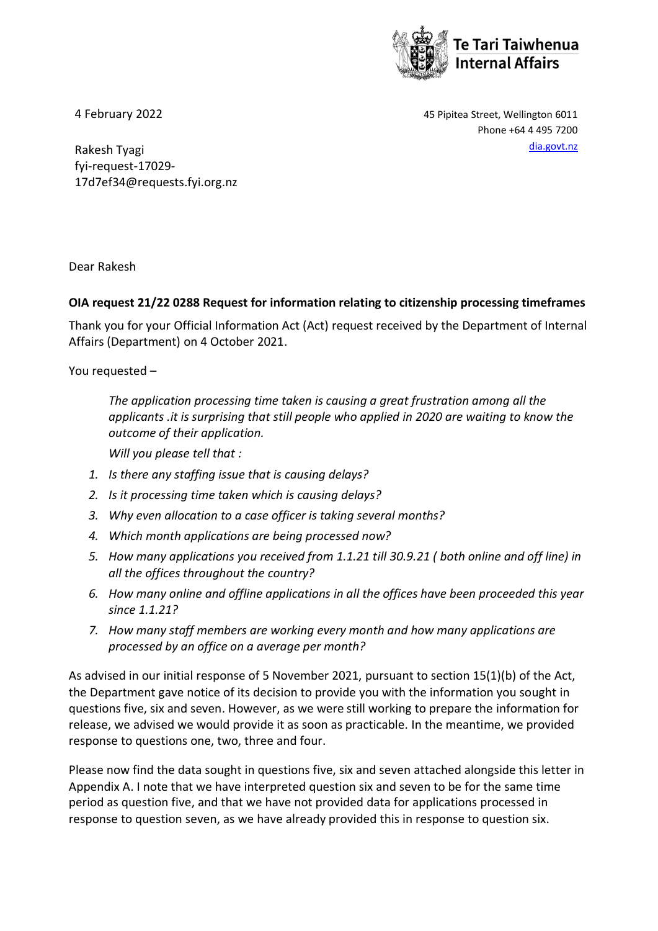

4 February 2022 45 Pipitea Street, Wellington 6011 Phone +64 4 495 7200

Rakesh Tyagi [dia.govt.nz](http://www.dia.govt.nz/) fyi-request-17029- 17d7ef34@requests.fyi.org.nz

Dear Rakesh

## **OIA request 21/22 0288 Request for information relating to citizenship processing timeframes**

Thank you for your Official Information Act (Act) request received by the Department of Internal Affairs (Department) on 4 October 2021.

You requested –

*The application processing time taken is causing a great frustration among all the applicants .it is surprising that still people who applied in 2020 are waiting to know the outcome of their application.*

*Will you please tell that :*

- *1. Is there any staffing issue that is causing delays?*
- *2. Is it processing time taken which is causing delays?*
- *3. Why even allocation to a case officer is taking several months?*
- *4. Which month applications are being processed now?*
- *5. How many applications you received from 1.1.21 till 30.9.21 ( both online and off line) in all the offices throughout the country?*
- *6. How many online and offline applications in all the offices have been proceeded this year since 1.1.21?*
- *7. How many staff members are working every month and how many applications are processed by an office on a average per month?*

As advised in our initial response of 5 November 2021, pursuant to section 15(1)(b) of the Act, the Department gave notice of its decision to provide you with the information you sought in questions five, six and seven. However, as we were still working to prepare the information for release, we advised we would provide it as soon as practicable. In the meantime, we provided response to questions one, two, three and four.

Please now find the data sought in questions five, six and seven attached alongside this letter in Appendix A. I note that we have interpreted question six and seven to be for the same time period as question five, and that we have not provided data for applications processed in response to question seven, as we have already provided this in response to question six.